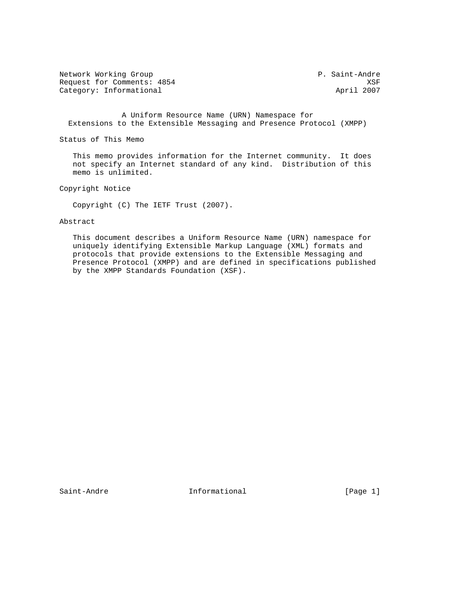Network Working Group P. Saint-Andre Request for Comments: 4854 XSF Category: Informational

 A Uniform Resource Name (URN) Namespace for Extensions to the Extensible Messaging and Presence Protocol (XMPP)

Status of This Memo

 This memo provides information for the Internet community. It does not specify an Internet standard of any kind. Distribution of this memo is unlimited.

Copyright Notice

Copyright (C) The IETF Trust (2007).

## Abstract

 This document describes a Uniform Resource Name (URN) namespace for uniquely identifying Extensible Markup Language (XML) formats and protocols that provide extensions to the Extensible Messaging and Presence Protocol (XMPP) and are defined in specifications published by the XMPP Standards Foundation (XSF).

Saint-Andre **Informational** Informational [Page 1]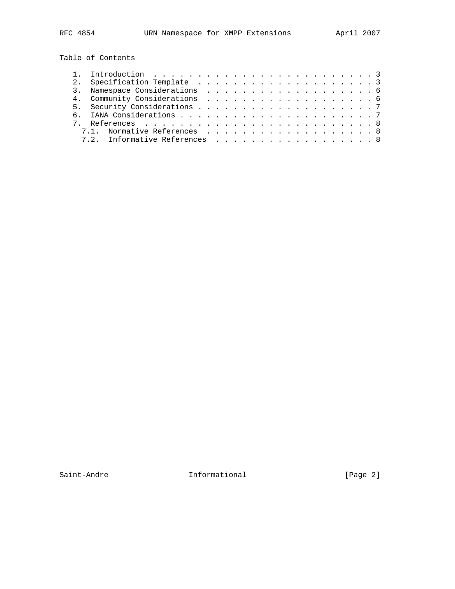Table of Contents

|  | 7.1. Normative References 8   |  |  |  |  |  |  |  |  |  |  |
|--|-------------------------------|--|--|--|--|--|--|--|--|--|--|
|  | 7.2. Informative References 8 |  |  |  |  |  |  |  |  |  |  |
|  |                               |  |  |  |  |  |  |  |  |  |  |

Saint-Andre **Informational Informational** [Page 2]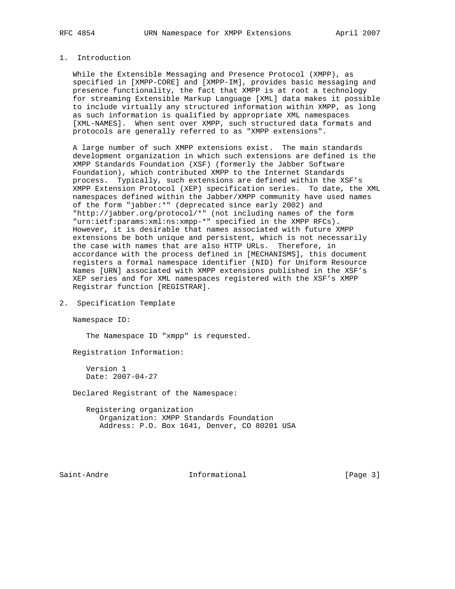## 1. Introduction

 While the Extensible Messaging and Presence Protocol (XMPP), as specified in [XMPP-CORE] and [XMPP-IM], provides basic messaging and presence functionality, the fact that XMPP is at root a technology for streaming Extensible Markup Language [XML] data makes it possible to include virtually any structured information within XMPP, as long as such information is qualified by appropriate XML namespaces [XML-NAMES]. When sent over XMPP, such structured data formats and protocols are generally referred to as "XMPP extensions".

 A large number of such XMPP extensions exist. The main standards development organization in which such extensions are defined is the XMPP Standards Foundation (XSF) (formerly the Jabber Software Foundation), which contributed XMPP to the Internet Standards process. Typically, such extensions are defined within the XSF's XMPP Extension Protocol (XEP) specification series. To date, the XML namespaces defined within the Jabber/XMPP community have used names of the form "jabber:\*" (deprecated since early 2002) and "http://jabber.org/protocol/\*" (not including names of the form "urn:ietf:params:xml:ns:xmpp-\*" specified in the XMPP RFCs). However, it is desirable that names associated with future XMPP extensions be both unique and persistent, which is not necessarily the case with names that are also HTTP URLs. Therefore, in accordance with the process defined in [MECHANISMS], this document registers a formal namespace identifier (NID) for Uniform Resource Names [URN] associated with XMPP extensions published in the XSF's XEP series and for XML namespaces registered with the XSF's XMPP Registrar function [REGISTRAR].

2. Specification Template

Namespace ID:

The Namespace ID "xmpp" is requested.

Registration Information:

 Version 1 Date: 2007-04-27

Declared Registrant of the Namespace:

 Registering organization Organization: XMPP Standards Foundation Address: P.O. Box 1641, Denver, CO 80201 USA

Saint-Andre **Informational** Informational [Page 3]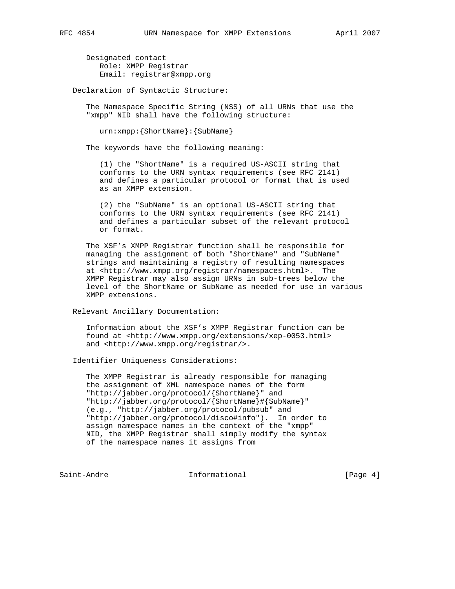Designated contact Role: XMPP Registrar Email: registrar@xmpp.org

Declaration of Syntactic Structure:

 The Namespace Specific String (NSS) of all URNs that use the "xmpp" NID shall have the following structure:

urn:xmpp:{ShortName}:{SubName}

The keywords have the following meaning:

 (1) the "ShortName" is a required US-ASCII string that conforms to the URN syntax requirements (see RFC 2141) and defines a particular protocol or format that is used as an XMPP extension.

 (2) the "SubName" is an optional US-ASCII string that conforms to the URN syntax requirements (see RFC 2141) and defines a particular subset of the relevant protocol or format.

 The XSF's XMPP Registrar function shall be responsible for managing the assignment of both "ShortName" and "SubName" strings and maintaining a registry of resulting namespaces at <http://www.xmpp.org/registrar/namespaces.html>. The XMPP Registrar may also assign URNs in sub-trees below the level of the ShortName or SubName as needed for use in various XMPP extensions.

Relevant Ancillary Documentation:

 Information about the XSF's XMPP Registrar function can be found at <http://www.xmpp.org/extensions/xep-0053.html> and <http://www.xmpp.org/registrar/>.

Identifier Uniqueness Considerations:

 The XMPP Registrar is already responsible for managing the assignment of XML namespace names of the form "http://jabber.org/protocol/{ShortName}" and "http://jabber.org/protocol/{ShortName}#{SubName}" (e.g., "http://jabber.org/protocol/pubsub" and "http://jabber.org/protocol/disco#info"). In order to assign namespace names in the context of the "xmpp" NID, the XMPP Registrar shall simply modify the syntax of the namespace names it assigns from

Saint-Andre **Informational** Informational [Page 4]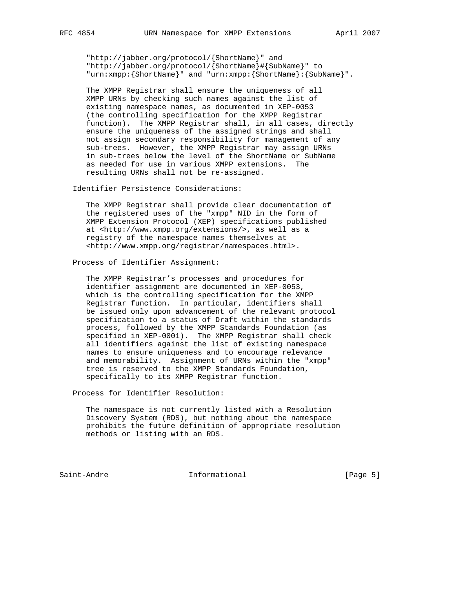"http://jabber.org/protocol/{ShortName}" and "http://jabber.org/protocol/{ShortName}#{SubName}" to "urn:xmpp:{ShortName}" and "urn:xmpp:{ShortName}:{SubName}".

 The XMPP Registrar shall ensure the uniqueness of all XMPP URNs by checking such names against the list of existing namespace names, as documented in XEP-0053 (the controlling specification for the XMPP Registrar function). The XMPP Registrar shall, in all cases, directly ensure the uniqueness of the assigned strings and shall not assign secondary responsibility for management of any sub-trees. However, the XMPP Registrar may assign URNs in sub-trees below the level of the ShortName or SubName as needed for use in various XMPP extensions. The resulting URNs shall not be re-assigned.

Identifier Persistence Considerations:

 The XMPP Registrar shall provide clear documentation of the registered uses of the "xmpp" NID in the form of XMPP Extension Protocol (XEP) specifications published at <http://www.xmpp.org/extensions/>, as well as a registry of the namespace names themselves at <http://www.xmpp.org/registrar/namespaces.html>.

Process of Identifier Assignment:

 The XMPP Registrar's processes and procedures for identifier assignment are documented in XEP-0053, which is the controlling specification for the XMPP Registrar function. In particular, identifiers shall be issued only upon advancement of the relevant protocol specification to a status of Draft within the standards process, followed by the XMPP Standards Foundation (as specified in XEP-0001). The XMPP Registrar shall check all identifiers against the list of existing namespace names to ensure uniqueness and to encourage relevance and memorability. Assignment of URNs within the "xmpp" tree is reserved to the XMPP Standards Foundation, specifically to its XMPP Registrar function.

Process for Identifier Resolution:

 The namespace is not currently listed with a Resolution Discovery System (RDS), but nothing about the namespace prohibits the future definition of appropriate resolution methods or listing with an RDS.

Saint-Andre **Informational** Informational [Page 5]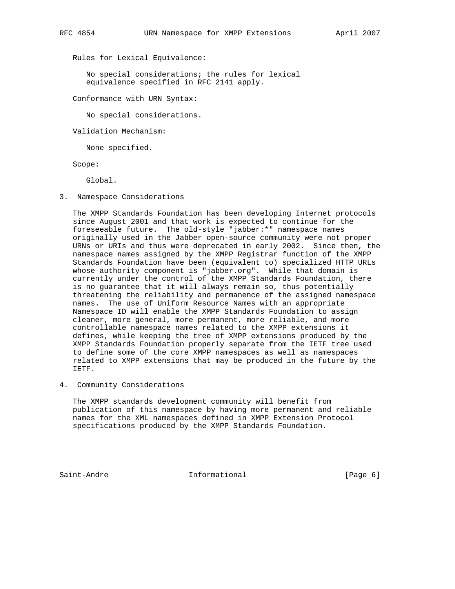Rules for Lexical Equivalence:

 No special considerations; the rules for lexical equivalence specified in RFC 2141 apply.

Conformance with URN Syntax:

No special considerations.

Validation Mechanism:

None specified.

Scope:

Global.

3. Namespace Considerations

 The XMPP Standards Foundation has been developing Internet protocols since August 2001 and that work is expected to continue for the foreseeable future. The old-style "jabber:\*" namespace names originally used in the Jabber open-source community were not proper URNs or URIs and thus were deprecated in early 2002. Since then, the namespace names assigned by the XMPP Registrar function of the XMPP Standards Foundation have been (equivalent to) specialized HTTP URLs whose authority component is "jabber.org". While that domain is currently under the control of the XMPP Standards Foundation, there is no guarantee that it will always remain so, thus potentially threatening the reliability and permanence of the assigned namespace names. The use of Uniform Resource Names with an appropriate Namespace ID will enable the XMPP Standards Foundation to assign cleaner, more general, more permanent, more reliable, and more controllable namespace names related to the XMPP extensions it defines, while keeping the tree of XMPP extensions produced by the XMPP Standards Foundation properly separate from the IETF tree used to define some of the core XMPP namespaces as well as namespaces related to XMPP extensions that may be produced in the future by the IETF.

4. Community Considerations

 The XMPP standards development community will benefit from publication of this namespace by having more permanent and reliable names for the XML namespaces defined in XMPP Extension Protocol specifications produced by the XMPP Standards Foundation.

Saint-Andre **Informational** Informational [Page 6]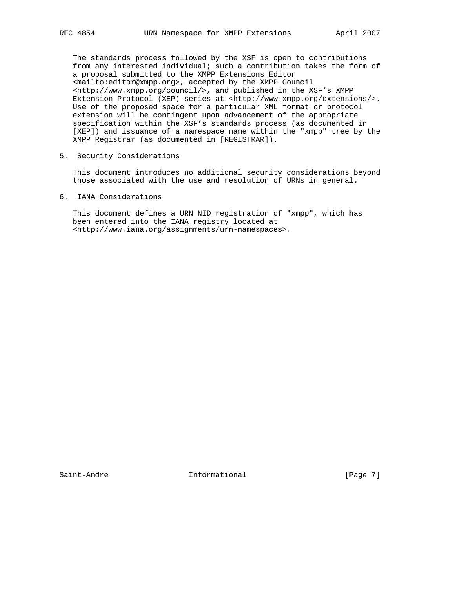The standards process followed by the XSF is open to contributions from any interested individual; such a contribution takes the form of a proposal submitted to the XMPP Extensions Editor <mailto:editor@xmpp.org>, accepted by the XMPP Council <http://www.xmpp.org/council/>, and published in the XSF's XMPP Extension Protocol (XEP) series at <http://www.xmpp.org/extensions/>. Use of the proposed space for a particular XML format or protocol extension will be contingent upon advancement of the appropriate specification within the XSF's standards process (as documented in [XEP]) and issuance of a namespace name within the "xmpp" tree by the XMPP Registrar (as documented in [REGISTRAR]).

5. Security Considerations

 This document introduces no additional security considerations beyond those associated with the use and resolution of URNs in general.

6. IANA Considerations

 This document defines a URN NID registration of "xmpp", which has been entered into the IANA registry located at <http://www.iana.org/assignments/urn-namespaces>.

Saint-Andre **Informational** [Page 7]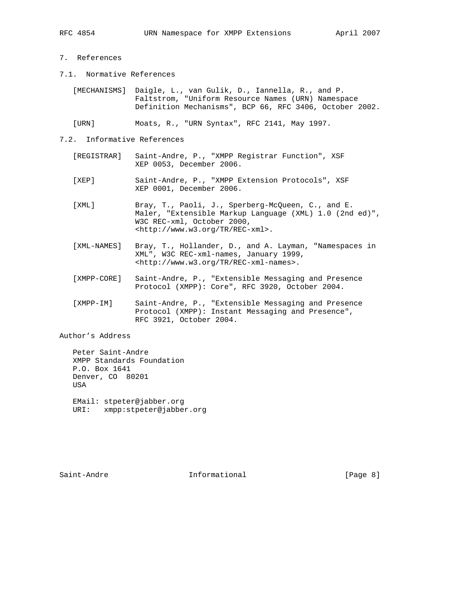- 7. References
- 7.1. Normative References

| [MECHANISMS] Daigle, L., van Gulik, D., Iannella, R., and P. |                                                         |  |  |
|--------------------------------------------------------------|---------------------------------------------------------|--|--|
|                                                              | Faltstrom, "Uniform Resource Names (URN) Namespace      |  |  |
|                                                              | Definition Mechanisms", BCP 66, RFC 3406, October 2002. |  |  |

[URN] Moats, R., "URN Syntax", RFC 2141, May 1997.

- 7.2. Informative References
	- [REGISTRAR] Saint-Andre, P., "XMPP Registrar Function", XSF XEP 0053, December 2006.
	- [XEP] Saint-Andre, P., "XMPP Extension Protocols", XSF XEP 0001, December 2006.
	- [XML] Bray, T., Paoli, J., Sperberg-McQueen, C., and E. Maler, "Extensible Markup Language (XML) 1.0 (2nd ed)", W3C REC-xml, October 2000, <http://www.w3.org/TR/REC-xml>.
	- [XML-NAMES] Bray, T., Hollander, D., and A. Layman, "Namespaces in XML", W3C REC-xml-names, January 1999, <http://www.w3.org/TR/REC-xml-names>.
	- [XMPP-CORE] Saint-Andre, P., "Extensible Messaging and Presence Protocol (XMPP): Core", RFC 3920, October 2004.
	- [XMPP-IM] Saint-Andre, P., "Extensible Messaging and Presence Protocol (XMPP): Instant Messaging and Presence", RFC 3921, October 2004.

Author's Address

 Peter Saint-Andre XMPP Standards Foundation P.O. Box 1641 Denver, CO 80201 USA

 EMail: stpeter@jabber.org URI: xmpp:stpeter@jabber.org

Saint-Andre **Informational Informational** [Page 8]